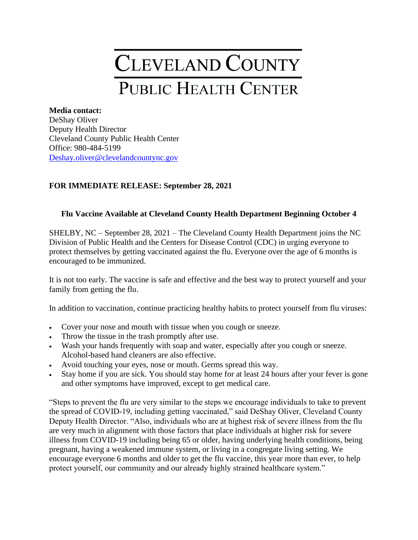## CLEVELAND COUNTY PUBLIC HEALTH CENTER

## **Media contact:** DeShay Oliver Deputy Health Director

Cleveland County Public Health Center Office: 980-484-5199 [Deshay.oliver@clevelandcountync.gov](mailto:Deshay.oliver@clevelandcountync.gov)

## **FOR IMMEDIATE RELEASE: September 28, 2021**

## **Flu Vaccine Available at Cleveland County Health Department Beginning October 4**

SHELBY, NC – September 28, 2021 – The Cleveland County Health Department joins the NC Division of Public Health and the Centers for Disease Control (CDC) in urging everyone to protect themselves by getting vaccinated against the flu. Everyone over the age of 6 months is encouraged to be immunized.

It is not too early. The vaccine is safe and effective and the best way to protect yourself and your family from getting the flu.

In addition to vaccination, continue practicing healthy habits to protect yourself from flu viruses:

- Cover your nose and mouth with tissue when you cough or sneeze.
- Throw the tissue in the trash promptly after use.
- Wash your hands frequently with soap and water, especially after you cough or sneeze. Alcohol-based hand cleaners are also effective.
- Avoid touching your eyes, nose or mouth. Germs spread this way.
- Stay home if you are sick. You should stay home for at least 24 hours after your fever is gone and other symptoms have improved, except to get medical care.

"Steps to prevent the flu are very similar to the steps we encourage individuals to take to prevent the spread of COVID-19, including getting vaccinated," said DeShay Oliver, Cleveland County Deputy Health Director. "Also, individuals who are at highest risk of severe illness from the flu are very much in alignment with those factors that place individuals at higher risk for severe illness from COVID-19 including being 65 or older, having underlying health conditions, being pregnant, having a weakened immune system, or living in a congregate living setting. We encourage everyone 6 months and older to get the flu vaccine, this year more than ever, to help protect yourself, our community and our already highly strained healthcare system."